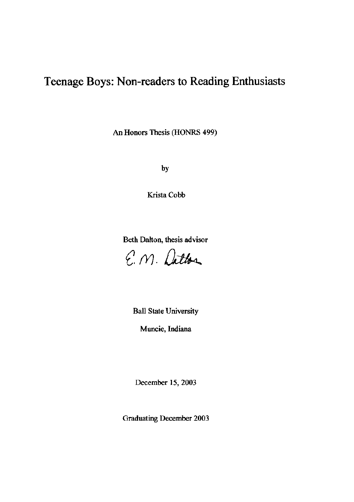# **Teenage Boys: Non-readers to Reading Enthusiasts**

An Honors Thesis (HONRS 499)

by

Krista Cobb

Beth Dalton, thesis advisor

E.M. Datton

Ball State University

**Muncie, Indiana** 

December 15, 2003

Graduating December 2003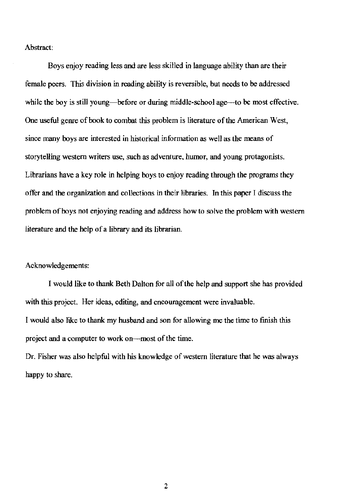Abstract:

Boys enjoy reading less and are less skilled in language ability than are their female peers. This division in reading ability is reversible, but needs to be addressed while the boy is still young—before or during middle-school age—to be most effective. One useful genre of book to combat this problem is literature of the American West, since many boys are interested in historical information as well as the means of storytelling western writers use, such as adventure, humor, and young protagonists. Librarians have a key role in helping boys to enjoy reading through the programs they offer and the organization and collections in their libraries. In this paper I discuss the problem of boys not enjoying reading and address how to solve the problem with western literature and the help of a library and its librarian.

Acknowledgements:

I would like to thank Beth Dalton for all of the help and support she has provided with this project. Her ideas, editing, and encouragement were invaluable. I would also like to thank my husband and son for allowing me the time to finish this project and a computer to work on---most of the time.

Dr. Fisher was also helpful with his knowledge of western literature that he was always happy to share.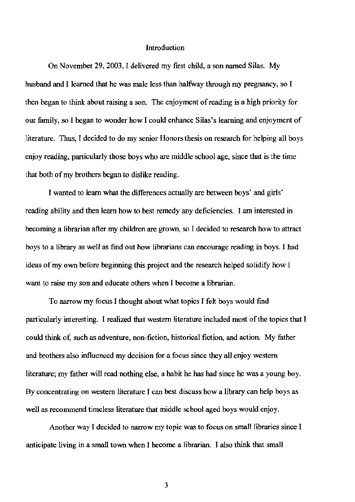### Introduction

On November 29, 2003, I delivered my first child, a son named Silas. My husband and I learned that he was male less than halfway through my pregnancy, so I then began to think about raising a son. The enjoyment of reading is a high priority for our family, so I began to wonder how I could enhance Silas's learning and enjoyment of literature. Thus, I decided to do my senior Honors thesis on research for helping all boys enjoy reading, particularly those boys who are middle school age, since that is the time that both of my brothers began to dislike reading.

I wanted to learn what the differences actually are between boys' and girls' reading ability and then learn how to best remedy any deficiencies. I am interested in becoming a librarian after my children are grown, so I decided to research how to attract boys to a library as well as find out how librarians can encourage reading in boys. I had ideas of my own before beginning this project and the research helped solidify how I want to raise my son and educate others when I become a librarian.

To narrow my focus I thought about what topics I fett boys would find particularly interesting. I realized that western literature included most of the topics that I could think of, such as adventure, non-fiction, historical fiction, and action. My father and brothers also influenced my decision for a focus since they all enjoy western literature; my father will read nothing else, a habit he has had since he was a young boy. By concentrating on western literature I can best discuss how a library can help boys as well as recommend timeless literature that middle school aged boys would enjoy.

Another way I decided to narrow my topic was to focus on small libraries since I anticipate living in a small town when I become a librarian. I also think that small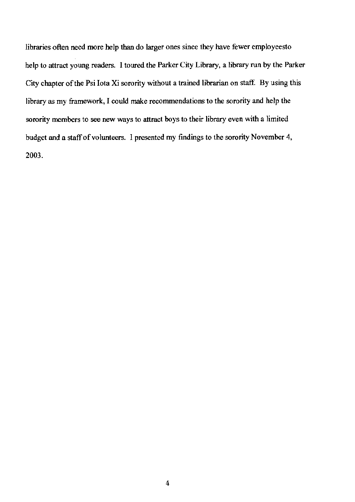libraries often need more help than do larger ones since they have fewer employeesto help to attract young readers. I toured the Parker City Library, a library run by the Parker City chapter of the Psi Iota Xi sorority without a trained librarian on staff. By using this library as my framework, I could make recommendations to the sorority and help the sorority members to see new ways to attract boys to their library even with a limited budget and a staff of volunteers. I presented my findings to the sorority November 4, 2003.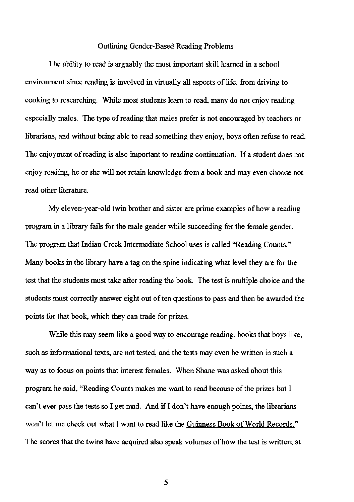### Outlining Gender-Based Reading Problems

The ability to read is arguably the most important skill learned in a school environment since reading is involved in virtually all aspects of life, from driving to cooking to researching. While most students learn to read, many do not enjoy reading especially males. The type of reading that males prefer is not encouraged by teachers or librarians, and without being able to read something they enjoy, boys often refuse to read. The enjoyment of reading is also important to reading continuation. If a student does not enjoy reading, he or she will not retain knowledge from a book and may even choose not read other literature.

My eleven-year-old twin brother and sister are prime examples of how a reading program in a library fails for the male gender while succeeding for the female gender. The program that Indian Creek Intermediate School uses is called "Reading Counts." Many books in the library have a tag on the spine indicating what level they are for the test that the students must take after reading the book. The test is multiple choice and the students must correctly answer eight out of ten questions to pass and then be awarded the points for that book, which they can trade for prizes.

While this may seem like a good way to encourage reading, books that boys like, such as informational texts, are not tested, and the tests may even be written in such a way as to focus on points that interest females. When Shane was asked about this program he said, ""Reading Counts makes me want to read because of the prizes but I can't ever pass the tests so I get mad. And if I don't have enough points, the librarians won't let me check out what I want to read like the Guinness Book of World Records." The scores that the *twins* have acquired also speak volumes of how the test is written; at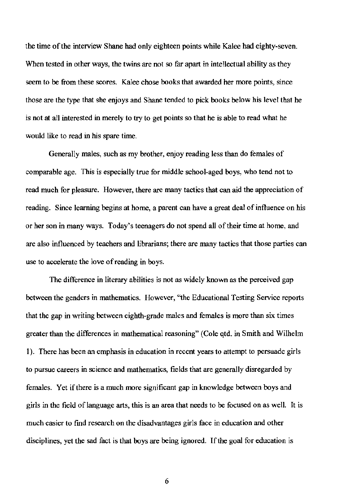the time of the interview Shane had only eighteen points while Kalee had eighty-seven. When tested in other ways, the twins are not so far apart in intellectual ability as they seem to be from these scores. Kalee chose books that awarded her more points, since those are the type that she enjoys and Shane tended to pick books below his level that he is not at all interested in merely to try to get points so that he is able to read what he would like to read in his spare time.

Generally males, such as my brother, enjoy reading less than do females of comparable age. This is especially true for middle school-aged boys, who tend not to read much for pleasure. However, there are many tactics that can aid the appreciation of reading. Since learning begins at home, a parent can have a great deal of influence on his or her son in many ways. Today's teenagers do not spend all of their time at home, and are also influenced by teachers and librarians; there are many tactics that those parties can use to accelerate the love of reading in boys.

The difference in literary abilities is not as widely known as the perceived gap between the genders in mathematics. However, "the Educational Testing Service reports that the gap in writing between eighth-grade males and females is more than six times greater than the differences in mathematical reasoning" (Cole qtd. in Smith and Wilhelm 1). There has been an emphasis in education in recent years to attempt to persuade girls to pursue careers in science and mathematics, fields that are generally disregarded by females. Yet if there is a much more significant gap in knowledge between boys and girls in the field of language arts, this is an area that needs to be focused on as well. It is much easier to fmd research on the disadvantages girls face in education and other disciplines, yet the sad fact is that boys are being ignored. If the goal for education is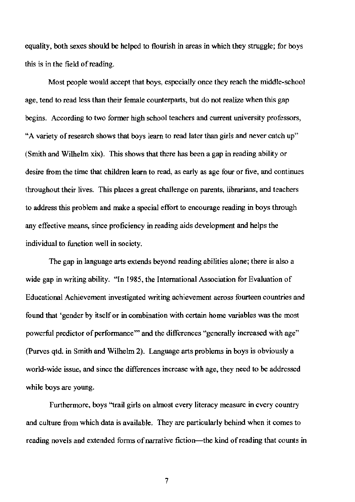equality, both sexes should be helped to flourish in areas in which they struggle; for boys this is in the field of reading.

Most people would accept that boys, especially once they reach the middle-school age, tend to read less than their female counterparts, but do not realize when this gap begins. According to two former high school teachers and current university professors, "A variety of research shows that boys learn to read later than girls and never catch up" (Smith and Wilhelm xix). This shows that there has been a gap in reading ability or desire from the time that children learn to read, as early as age four or five, and continues throughout their lives. This places a great challenge on parents, librarians, and teachers to address this problem and make a special effort to encourage reading in boys through any effective means, since proficiency in reading aids development and helps the individual to function well in society.

The gap in language arts extends beyond reading abilities alone; there is also a wide gap in writing ability. ""In 1985, the International Association for Evaluation of Educational Achievement investigated writing achievement across fourteen countries and found that "gender by itself or in combination with certain home variables was the most powerful predictor of performance" and the differences "generally increased with age" (Purves qtd. in Smith and Wilhelm 2). Language arts problems in boys is obviously a world-wide issue, and since the differences increase with age, they need to be addressed while boys are young.

Furthermore, boys "trail girls on almost every literacy measure in every country and cuhure from which data is available. They are particularly behind when it comes to reading novels and extended forms of narrative fiction-the kind of reading that counts in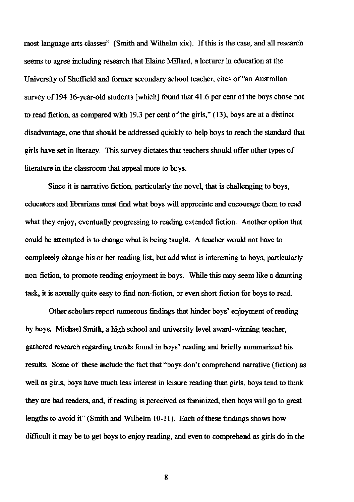most language arts classes" (Smith and Wilhelm xix). If this is the case, and all research **seems to agree including research that Elaine Millard, a lecturer in education at the University** of Sheffield **and former secondary school teacher, cites** of "an **Australian**  survey of 194 16-year-old students [which] found that 41.6 per cent of the boys chose not to read fiction, as compared with 19.3 per cent of the girls,"  $(13)$ , boys are at a distinct disadvantage, one that sbould be addressed quickly to help boys to reach the standard that girls have set in literacy. This survey dictates that teachers sbould offer other types of **literature in the classroom that appeal more to boys.** 

**Since it is narrative fiction, particularly the novel, that is challenging to boys, educators and librarians must find what boys will appreciate and encourage them to read**  what they enjoy, eventually progressing to reading extended fiction. Another option that could be attempted is to change what is being taught. A teacher would not have to completely change his or ber reading list, but add what is interesting to boys, particularly **000-fiction, to promote reading enjoyment in boys. While this may seem like a daunting**  task, it is actually quite easy to find non-fiction, or even short fiction for boys to read.

**Other scholars report numerous findings that hinder boys' enjoyment** of reading by boys. Michael Smith, a high scbool and university level award-winning teacher, gathered research regarding trends found in boys' reading and briefly summarized his results. Some of these include the fact that "boys don't comprehend narrative (fiction) as well as girls, boys have much less interest in leisure reading than girls, boys tend to think they are bad readers, and, if reading is perceived as feminized, then boys will go to great lengths to avoid it" (Smith and Wilhelm 10-11). Each of these findings shows how **difficuh it may be to get boys to enjoy reading, and even to comprehend as girls do in the**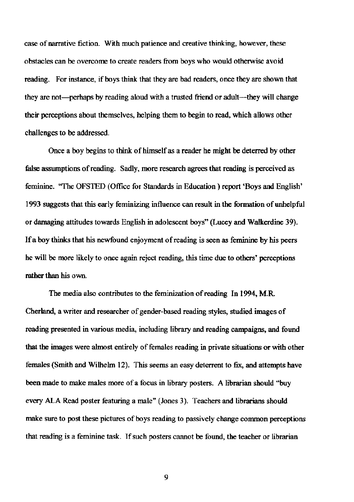**case** of narrative **fiction. With much patience and creative thinking. however, these obstacles can be overcome to create readers from boys who would otherwise avoid**  reading. For instance, if boys think that they are bad readers, once they are sbown that they are not—perhaps by reading aloud with a trusted friend or adult—they will change their perceptions about themselves, helping them to begin to read, which allows other challenges to be addressed.

Once a boy begins to think of himself as a reader he might be deterred by other **false assumptions** of reading. **Sadly, more research agrees that reading is perceived** as feminine. "The OFSTED (Office for Standards in Education) report 'Boys and English' 1993 suggests that this early feminizing influence can result in the formation of unhelpful or damaging attitudes towards English in adolescent boys" (Lucey and Walkerdine 39). If a boy thinks that his newfound enjoyment of reading is seen as feminine by his peers **he will be more likely to once again reject reading, this time due to others' perceptions**  rather than his own.

The media also contributes to the feminization of reading In 1994, M.R. Cherland, a writer and researcher of gender-based reading styles, studied images of reading presented in various media, including library and reading campaigns, and found **that the images were almost entirely of females reading in private situations or with other**  females (Smhh and Wilhehn 12). This seems an easy deterrent to fix, and attempts have **been made to make males more of a focus in library posters. A librarian should "buy** every ALA Read poster featuring a male" (Jones 3). Teachers and librarians sbould **make sure to post these pictures** of boys **reading to passively change conunon perceptions that reading is a feminine task. If such posters carmot be found, the teacher or librarian**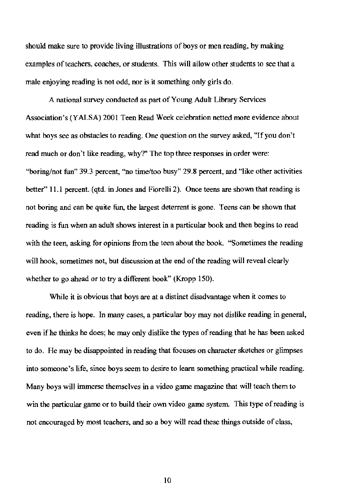should make sure to provide living illustrations of boys or men reading, by making examples of teachers, coaches, or students. This will allow other students to see that a male enjoying reading is not odd, nor is it something only girls do.

A national survey conducted as part of Young Adult Library Services Association's (Y ALSA) 2001 Teen Read Week celebration netted more evidence about what boys see as obstacles to reading. One question on the survey asked, "If you don't read much or don't like reading, why?" The top three responses in order were: "boring/not fun" 39.3 percent, "no time/too busy" 29.8 percent, and "like other activities better" 11.1 percent. (qtd. in Jones and Fiorelli 2). Once teens are shown that reading is not boring and can be quite fun, the largest deterrent is gone. Teens can be shown that reading is fun when an adult shows interest in a particular book and then begins to read with the teen, asking for opinions from the teen about the book. "Sometimes the reading will hook, sometimes not, but discussion at the end of the reading will reveal clearly whether to go ahead or to try a different book" (Kropp 150).

While it is obvious that boys are at a distinct disadvantage when it comes to reading, there is hope. In many cases, a particular boy may not dislike reading in general, even if he thinks he does; he may only dislike the types of reading that he has been asked to do. He may be disappointed in reading that focuses on character sketches or glimpses into someone's life, since boys seem to desire to learn something practical while reading. Many boys will immerse themselves in a video game magazine that will teach them to win the particular game or to build their own video game system. This type of reading is not encouraged by most teachers, and so a boy will read these things outside of class,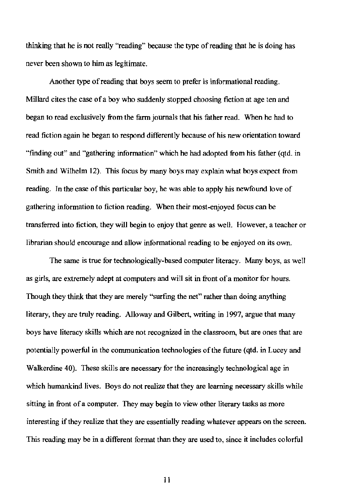thinking that he is not really "reading" because the type of reading that he is doing has never been shown to him as legitimate.

Another type of reading that boys seem to prefer is informational reading. Millard cites the case of a boy who suddenly stopped choosing fiction at age ten and began to read exclusively from the farm journals that his father read. When he had to read fiction again he began to respond differently because of his new orientation toward "fmding out" and "gathering information" which he had adopted from his futher (qtd. in Smith and Wilhelm 12). This focus by many boys may explain what boys expect from reading. In the case of this particular boy, he was able to apply his newfound love of gathering information to fiction reading. When their most-enjoyed focus can be transferred into fiction, they will begin to enjoy that genre as well. However, a teacher or librarian should encourage and allow informational reading to be enjoyed on its own.

The same is true for technologically-based computer literacy. Many boys, as well as girls, are extremely adept at computers and will sit in front of a monitor for hours. Though they think that they are merely "surfing the net" rather than doing anything literary, they are truly reading. Alloway and Gilbert, writing in 1997, argue that many boys have literacy skills which are not recognized in the classroom, but are ones that are potentially powerful in the communication technologies of the future (qtd. in Lucey and Walkerdine 40). These skills are necessary for the increasingly technological age in which humankind lives. Boys do not realize that they are learning necessary skills while sitting in front of a computer. They may begin to view other literary tasks as more interesting if they realize that they are essentially reading whatever appears on the screen. This reading may be in a different format than they are used to, since it includes co lorful

II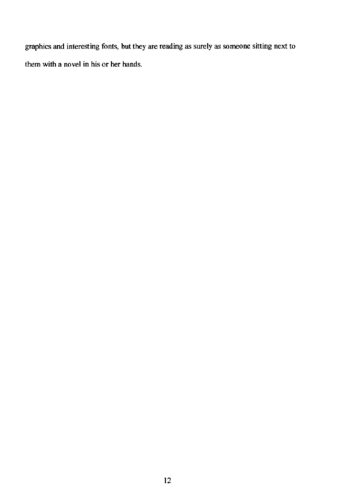graphics and interesting fonts, but they are reading as surely as someone sitting next to them with a novel in his or her hands.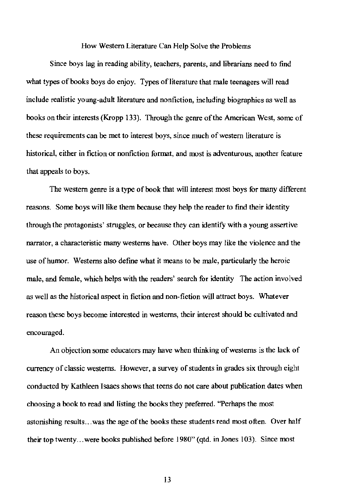How Western Literature Can Help Solve the Problems

Since boys lag in reading ability, teachers, parents, and librarians need to find what types of books boys do enjoy. Types of literature that male teenagers will read include realistic young-adult literature and nonfiction, including biographies as well as books on their interests (Kropp 133). Through the genre of the American West, some of these requirements can be met to interest boys, since much of western literature is historical, either in fiction or nonfiction format, and most is adventurous, another feature that appeals to boys.

The western genre is a type of book that will interest most boys for many different reasons. Some boys will like them because they help the reader to find their identity through the protagonists' struggles, or because they can identify with a young assertive narrator, a characteristic many westerns have. Other boys may like the violence and the use of humor. Westerns also define what it means to be male, particularly the heroic male, and female, which helps with the readers' search for identity The action involved as well as the historical aspect in fiction and non-fiction will attract boys. Whatever reason these boys become interested in westerns, their interest should be cultivated and encouraged.

An objection some educators may have when thinking of westerns is the lack of currency of classic westerns. However, a survey of students in grades six through eight conducted by Kathleen Isaacs shows that teens do not care about publication dates when choosing a book to read and listing the books they preferred. "Perhaps the most astonishing results ... was the age of the books these students read most often. Over half their top twenty ... were books published before 1980" (qtd. in Jones 103). Since most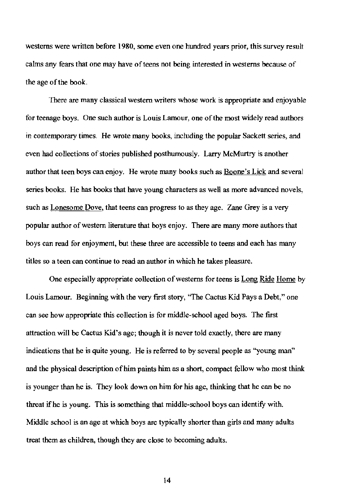westerns were written before 1980, some even one hundred years prior, this survey result calms any fears that one may have of teens not being interested in westerns because of the age of the book.

There are many classical western writers whose work is appropriate and enjoyable for teenage boys. One such author is Louis Lamour, one of the most widely read authors in contemporary times. He wrote many books, including the popular Sackett series, and even had collections of stories published posthumously. Larry McMurtry is another author that teen boys can enjoy. He wrote many books such as Boone's Lick and several series books. He has books that have young characters as well as more advanced novels, such as Lonesome Dove, that teens can progress to as they age. Zane Grey is a very popular author of western literature that boys enjoy. There are many more authors that boys can read for enjoyment, but these three are accessible to teens and each has many titles so a teen can continue to read an author in which he takes pleasure.

One especially appropriate collection of westerns for teens is Long Ride Home by Louis Lamour. Beginning with the very first story, "The Cactus Kid Pays a Debt," one can see how appropriate this collection is for middle-school aged boys. The first attraction will be Cactus Kid's age; though it is never told exactly, there are many indications that he is quite young. He is referred to by several people as "young man" and the physical description of him paints him as a short, compact fellow who most think is younger than he is. They look down on him for his age, thinking that he can be no threat if he is young. This is something that middle-school boys can identify with. Middle school is an age at which boys are typically shorter than girls and many aduhs treat them as children, though they are close to becoming adults.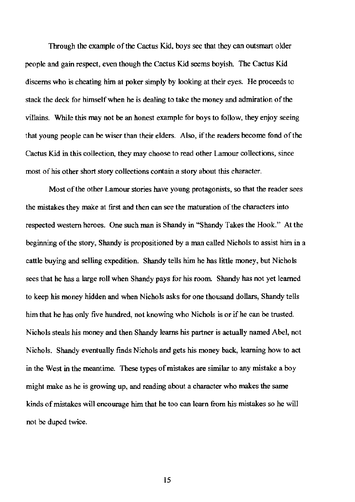Through the example of the Cactus Kid, boys see that they can outsmart older people and gain respect, even though the Cactus Kid seems boyish. The Cactus Kid discerns who is cheating him at poker simply by looking at their eyes. He proceeds to stack the deck for himself when he is dealing to take the money and admiration of the villains. While this may not be an honest example for boys to follow, they enjoy seeing that young people can be wiser than their elders. Also, if the readers become fond of the Cactus Kid in this collection, they may choose to read other Lamour collections, since most of his other short story collections contain a story about this character.

Most of the other Lamour stories have young protagonists, so that the reader sees the mistakes they make at fIrst and then can see the maturation of the characters into respected western heroes. One such man is Shandy in "Shandy Takes the Hook." At the beginning of the story, Shandy is propositioned by a man called Nichols to assist him in a cattle buying and selling expedition. Shandy tells him he has little money, but Nichols sees that he has a large roll when Shandy pays for his room Shandy has not yet learned to keep his money hidden and when Nichols asks for one thousand dollars, Shandy tells him that he has only five hundred, not knowing who Nichols is or if he can be trusted. Nichols steals his money and then Shandy learns his partner is actually named Abel, not Nichols. Shandy eventually fmds Nichols and gets his money back, learning how to act in the West in the meantime. These types of mistakes are similar to any mistake a boy might make as he is growing up, and reading about a character who makes the same kinds of mistakes will encourage him that he too can learn from his mistakes so he will not be duped twice.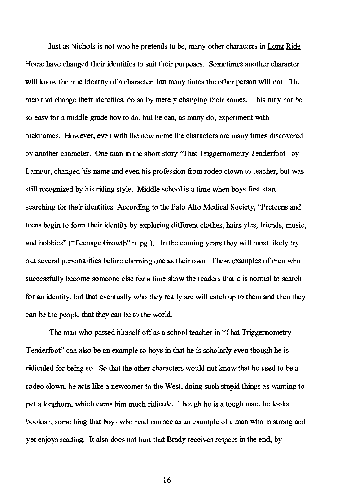Just as Nichols is not who he pretends to be, many other characters in Long Ride Home have changed their identities to suit their purposes. Sometimes another character will know the true identity of a character, but many times the other person will not. The men that change their identities, do so by merely changing their names. This may not be so easy for a middle grade boy to do, but he can, as many do, experiment with nicknames. However, even with the new name the characters are many times discovered by another character. One man in the short story "That Triggemometry Tenderfoot" by Lamour, changed his name and even his profession from rodeo clown to teacher, but was still recognized by his riding style. Middle school is a time when boys first start searching for their identities. According to the Palo Alto Medical Society, "Preteens and teens begin to form their identity by exploring different clothes, hairstyles, friends, music, and hobbies" ("Teenage Growth" n. pg.). In the coming years they will most likely try out several personalities before claiming one as their own. These examples of men who successfully become someone else for a time show the readers that it is normal to search for an identity, but that eventually who they really are will catch up to them and then they can be the people that they can be to the world.

The man who passed himself off as a school teacher in "That Triggernometry" Tenderfoot" can also be an example to boys in that he is scholarly even though he is ridiculed for being so. So that the other characters would not know that he used to be a rodeo clown, he acts like a newcomer to the West, doing such stupid things as wanting to pet a longhorn, which earns him much ridicule. Though he is a tough man, he looks bookish, something that boys who read can see as an example of a man who is strong and yet enjoys reading. It also does not hurt that Brady receives respect in the end, by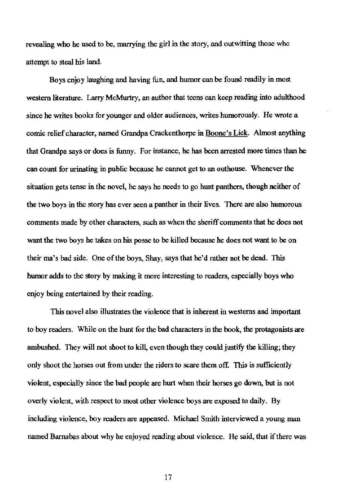**revealing who he used to be, marrying the girl in the story, and outwitting those who**  attempt to steal his land.

Boys enjoy laughing and having fun, and humor can be found readily in most western literature. Larry McMurtry, an author that teens can keep reading into aduhhood **since he writes books for younger and older audiences, writes humorously. He wrote a**  comic relief character, named Grandpa Crackenthorpe in Boone's Lick. Almost anything that Grandpa says or does is funny. For instance, he has been arrested more times than be **can count for urinating in public because he cannot get to an outhouse. Whenever the**  situation gets tense in the novel, he says he needs to go hunt panthers, though neither of **the two boys in the story has ever seen a panther in their lives. There are also humorous comments made by other characters, such as when the sheriff conunents that he does not**  want the two boys he takes on his posse to be killed because he does not want to be on their ma's bad side. One of the boys, Shay, says that he'd rather not be dead. This humor adds to the story by making it more interesting to readers, especially boys who enjoy being entertained by their reading.

**This novel also illustrates the violence that is inherent in westerns and important**  to boy readers. While on the hunt for the had characters in the book, the protagonists are ambushed. They will not shoot to kill, even though they could justify the killing; they only shoot the horses out from under the riders to scare them off. This is sufficiently violent, especially since the bad people are hurt when their horses go down, but is not **overly violent, with respect to most other violence boys are exposed to daily. By including violence, boy readers are appeased. Michael Smith interviewed a young man**  named Barnabas about why he enjoyed reading about violence. He said, that if there was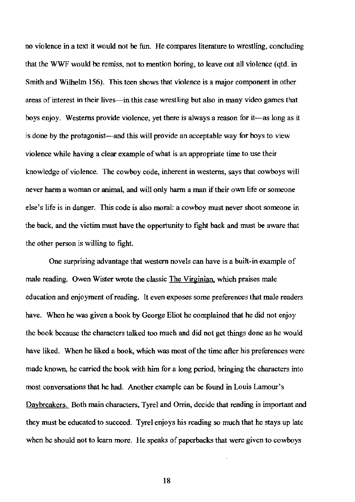no violence in a text it would not be fun. He compares literature to wrestling, concluding that the WWF would be remiss, not to mention boring, to leave out all violence (qtd. in Smith and Wilhelm 156). This teen shows that violence is a major component in other areas of interest in their lives—in this case wrestling but also in many video games that boys enjoy. Westerns provide violence, yet there is always a reason for it-as long as it is done by the protagonist—and this will provide an acceptable way for boys to view violence while having a clear example of what is an appropriate time to use their knowledge of violence. The cowboy code, inherent in westerns, says that cowboys will never harm a woman or animal, and will only harm a man if their own life or someone else's life is in danger. This code is also moral: a cowboy must never shoot someone in the back, and the victim must bave the opportunity to fight back and must be aware tbat the other person is willing to fight.

One surprising advantage that western novels can have is a built-in example of male reading. Owen Wister wrote the classic The Virginian. which praises male education and enjoyment of reading. It even exposes some preferences that male readers have. When he was given a book by George Eliot he complained that he did not enjoy the book because the characters talked too much and did not get things done as he would have liked. When he liked a book, which was most of the time after his preferences were made known, he carried the book with him for a long period, bringing the characters into most conversations that he had. Another example can be found in Louis Lamour's Daybreakers. Both main characters, Tyrel and Orrin, decide that reading is important and they must be educated to succeed. Tyrel enjoys his reading so much that he stays up late when he should not to learn more. He speaks of paperbacks that were given to cowboys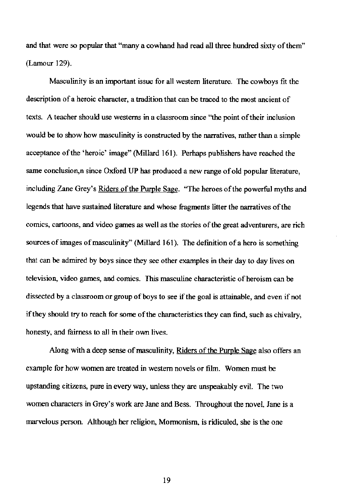and that were so popular that "many a cowhand had read all three hundred sixty of them" (Lamour 129).

Masculinity is an important issue for all western literature. The cowboys fit the description of a heroic character, a tradition that can be traced to the most ancient of texts. A teacher should use westerns in a classroom since ''the point of their inclusion would be to show how masculinity is constructed by the narratives, rather than a simple acceptance of the 'heroic' image" (Millard 161). Perhaps publishers have reached the same conclusion,n since Oxford UP has produced a new range of old popular literature, including Zane Grey's Riders of the Purple Sage. "The heroes of the powerful myths and legends that have sustained literature and whose fragments litter the narratives of the comics, cartoons, and video games as well as the stories of the great adventurers, are rich sources of images of masculinity" (Millard 161). The definition of a hero is something that can be admired by boys since they see other examples in their day to day lives on television, video games, and comics. This masculine characteristic of heroism can be dissected by a classroom or group of boys to see if the goal is attainable, and even if not if they should try to reach for some of the characteristics they can find, such as chivalry, honesty, and fairness to all in their own lives.

Along with a deep sense of masculinity, Riders of the Purple Sage also offers an example for how women are treated in western novels or film. Women must be upstanding citizens, pure in every way, unless they are unspeakably evil. The two women characters in Grey's work are Jane and Bess. Throughout the novel, Jane is a marvelous person. Ahhough her religion, Mormonism, is ridiculed, she is the one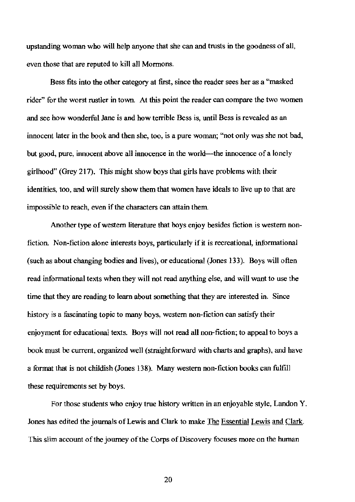upstanding woman who will help anyone that she can and trusts in the goodness of all, even those that are reputed to kill al1 Mormons.

Bess fits into the other category at first, since the reader sees her as a "masked rider" for the worst rustler in town. At this point the reader can compare the two women and see how wonderful Jane is and how terrible Bess is, until Bess is revealed as an innocent later in the book and then she, too, is a pure woman; "not only was she not bad, but good, pure, innocent above all innocence in the world--the innocence of a lonely girlhood" (Grey 217). This might show boys that girls have problems with their identities, too, and will surely show them that women have ideals to live up to that are impossible to reach, even if the characters can attain them

Another type of western literature that boys enjoy besides fiction is western nonfiction. Non-fiction alone interests boys, particularly if it is recreational, informational (such as about changing bodies and lives), or educational (Jones 133). Boys will often read informational texts when they will not read anything else, and will want to use the time that they are reading to learn about something that they are interested in. Since history is a fascinating topic to many boys, western non-fiction can satisfy their enjoyment for educational texts. Boys will not read all non-fiction; to appeal to boys a book must be current. organized well (straightforward with charts and graphs). and have a format that is not childish (Jones 138). Many western non-fiction books can fulfill these requirements set by boys.

For those students who enjoy true history written in an enjoyable style, Landon Y. Jones has edited the journals of Lewis and Clark to make The Essential Lewis and Clark. This slim account of the journey of the Corps of Discovery focuses more on the human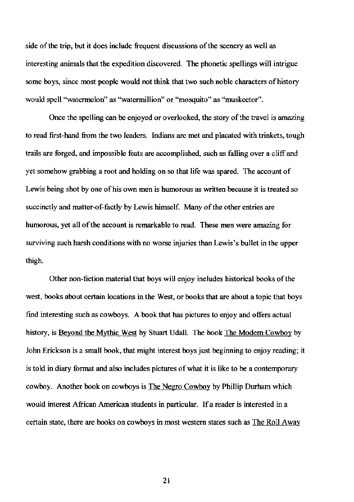side of the trip, but it does include frequent discussions of the scenery as well as interesting animals that the expedition discovered. The phonetic spellings will intrigue some boys, since most people would not think that two such noble characters of history would spell "watermelon" as ''watermillion'' or ""mosquito" as '"muskeetor".

Once the spelling can be enjoyed or overlooked, the story of the travel is amazing to read first-hand from the two leaders. Indians are met and placated with trinkets, tough trails are forged, and impossible feats are accomplished, such as falling over a cliff and yet somehow grabbing a root and holding on so that life was spared. The account of Lewis being shot by one of his own men is humorous as written because it is treated so succinctly and matter-of-factly by Lewis himself. Many of the other entries are humorous, yet all of the account is remarkable to read. These men were amazing for surviving such harsh conditions with no worse injuries than Lewis's bullet in the upper thigh.

Other non-fiction material that boys will enjoy includes historical books of the west, books about certain locations in the West, or books that are about a topic that boys find interesting such as cowboys. A book that has pictures to enjoy and offers actual history, is Beyond the Mythic West by Stuart Udall. The book The Modem Cowboy by John Erickson is a small book, that might interest boys just beginning to enjoy reading; it is told in diary format and also includes pictures of what it is like to be a contemporary cowboy. Another book on cowboys is The Negro Cowboy by Phillip Durham which would interest African American students in particular. If a reader is interested in a certain state, there are books on cowboys in most western states such as The Roll Away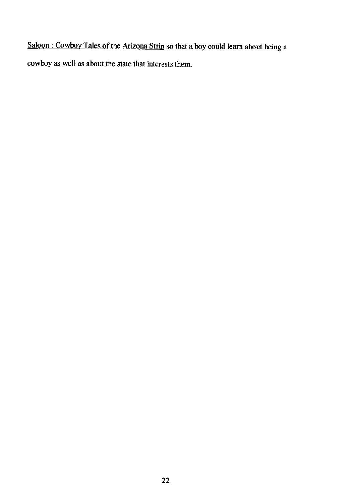Saloon: Cowboy Tales of the Arizona Strip so that a boy could learn about being a **cowboy as well as about the state that interests them**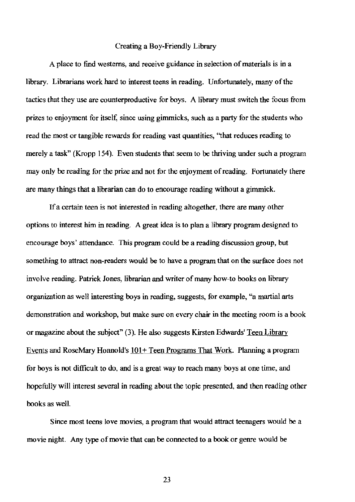### Creating a Boy-Friendly Library

A place to find westerns, and receive guidance in selection of materials is in a library. Librarians work hard to interest teens in reading. Unfortunately, many of the tactics that they use are counterproductive for boys. A library must switch the focus from prizes to enjoyment for itself: since using gimmicks, such as a party for the students who read the most or tangible rewards for reading vast quantities, ''that reduces reading to merely a task" (Kropp 154). Even students that seem to be thriving under such a program may only be reading for the prize and not for the enjoyment of reading. Fortunately there are many things that a librarian can do to encourage reading without a gimmick.

If a certain teen is not interested in reading altogether. there are many other options to interest him in reading. A great idea is to plan a library program designed to encourage boys' attendance. This program could be a reading discussion group, but something to attract non-readers would be to have a program that on the surface does not involve reading. Patrick Jones, librarian and writer of many how-to books on library organization as well interesting boys in reading, suggests, for example, "a martial arts demonstration and workshop, but make sure on every chair in the meeting room is a book or magazine about the subject" (3). He also suggests Kirsten Edwards' Teen Library Events and RoseMary Honnold's  $101+$  Teen Programs That Work. Planning a program for boys is not difficult to do, and is a great way to reach many boys at one time, and hopefully will interest several in reading about the topic presented, and then reading other books as well.

Since most teens love movies, a program that would attract teenagers would be a movie night. Any type of movie that can be connected to a book or genre would be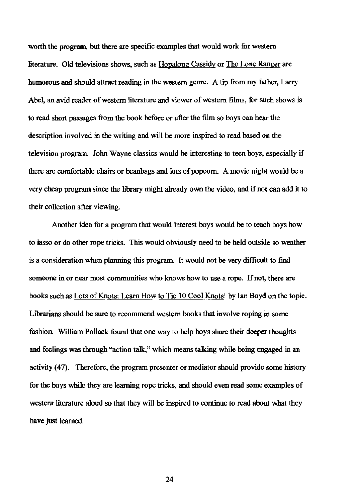**worth the program, but there are specific examples that would work for western literature. Old televisions shows, such as Hopalong Cassidy or The Lone Ranger are**  humorous and should attract reading in the western genre. A tip from my father, Larry **Abel, an avid reader of western literature and viewer of western films, for such shows is**  to read short passages from the hook hefore or after the film so boys can hear the **description involved in the writing and will be more inspired to read based on the television program. John Wayne classics would be interesting to teen boys, especially if**  there are comfortable chairs or beanbags and lots of popcorn. A movie night would be a very cheap program since the library might already own the video, and if not can add it to **their collection after viewing.** 

Another idea for a program that would interest boys would be to teach boys how **to lasso or do other rope tricks. This would obviously need to be held outside so weather is a consideration when planning this program. It would not be very difficuh to find someone in or near most communities who knows how to use a rope. If not, there are**  books such as Lots of Knots: Learn How to Tie 10 Cool Knots! by Ian Boyd on the topic. **Librarians should be sure to recommend western books that involve roping in some**  fashion. William Pollack found that one way to help boys share their deeper thoughts and feelings was through "action ta1k," which means talking while heing engaged in an activity (47). Therefore, the program presenter or mediator should provide some history for the boys while they are learning rope tricks, and should even read some examples of western literature aloud so that they will he inspired to continue to read about what they have just learned.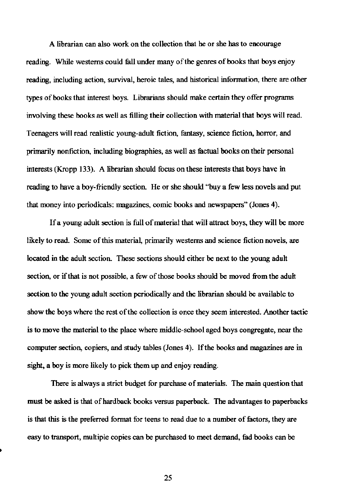**A librarian can also work on the collection that he or she has to encourage**  reading. While westerns could fall under many of the genres of books that boys enjoy **reading, including action, survival, heroic tales, and historical information, there are other**  types of hooks that interest hoys. Librarians should make certain they offer programs involving these hooks as well as filling their collection with material that hoys will read. **Teenagers will read realistic young-aduh fiction, fantasy, science fiction, horror, and**  primarily nonfiction, including biographies, as well as fuctual hooks on their personal interests (Kropp 133). A librarian should focus on these interests that hoys have in reading to have a boy-friendly section. He or she should "buy a few less novels and put **that money into periodicals: magazines, comic books and newspapers" (Jones 4).** 

If a young adult section is full of material that will attract boys, they will be more **likely to read. Some of this material, primarily westerns and science fiction novels, are**  located in the adult section. These sections should either he next to the young adult **section, or** if that **is not possible, a few** of those **books should be moved from the aduh section to the young aduh section periodically and the librarian should be available to show the boys where the rest** of the **collection is once they seem interested. Another tactic**  is to move the material to the place where middle-school aged hoys cougregate, near the **computer section, copiers, and study tables (Jones 4).** If the **books and magazines are in**  sight, a boy is more likely to pick them up and enjoy reading.

**There is always a strict budget for purchase of materials. The main question that**  must he asked is that of hardback hooks versus paperback. The advantages to paperbacks **is that this is the preferred format for teens to read due to a number of factors, they are**  easy to trausport, multiple copies can he purchased to meet demand, tad hooks can he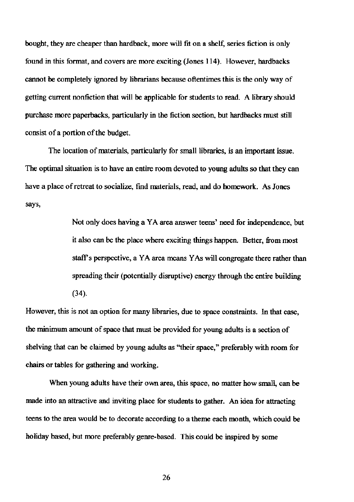**bought, they are cheaper than hardback, more will fit on a shelf, series fiction is only** found in this format, and covers are more exciting (Jones 114). However, hardbacks **cannot be completely ignored by librarians because oftentimes this is the only way of**  getting current nonfiction that will be applicable for students to read. A library should purchase more paperbacks, particularly in tbe fiction section, but hardbacks must still **consist of a portion of the budget.** 

**The location of materials, particularly for** small libraries, **is an important issue. The optimal situation is to have an entire room devoted to young adults so that they can have a place ofretreat to socialize, find materials, read, and do homework. As Jones says,** 

> **Not only does having a YA area answer teens' need for independence, but**  it also can be the place where exciting things happen. Better, from most staff's perspective, a YA area means YAs will congregate there rather than spreading their (potentially disruptive) energy tbrough the entire building (34).

**However, this is not an option for many libraries, due to space constraints. In that case, the minimum amount of space that must be provided for young adults is a section of**  shelving that can be claimed by young adults as "their space," preferably with room for chairs or tables for gathering and working.

**When young adults have their own area, this space, no matter how small, can be made into an attractive and inviting place for students to gather. An idea for attracting teens to the area would be to decorate according to a theme each month, which could be**  holiday based, but more preferably genre-based. This could be inspired by some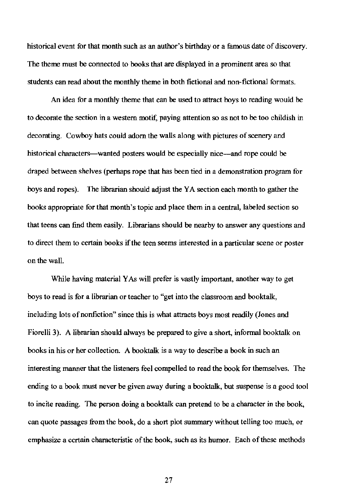historical event for that month such as an author's birthday or a famous date of discovery. The theme must be connected to books that are displayed in a prominent area so that students can read about the monthly theme in both fictional and non-fictional formats.

An idea for a monthly theme that can be used to attract boys to reading would be to decorate the section in a western motif, paying attention so as not to be too childish in decorating. Cowboy hats could adorn the walls along with pictures of scenery and historical characters—wanted posters would be especially nice—and rope could be draped between shelves (perhaps rope that has been tied in a demonstration program for boys and ropes). The librarian should adjust the YA section each month to gather the books appropriate for that month's topic and place them in a central, labeled section so that teens can find them easily. Librarians should be nearby to answer any questions and to direct them to certain books if the teen seems interested in a particular scene or poster on the wall.

While having material YAs will prefer is vastly important, another way to get boys to read is for a librarian or teacher to "get into the classroom and booktalk, including lots of nonfiction" since this is what attracts boys most readily (Jones and Fiorelli 3). A librarian should always be prepared to give a short, informal booktalk on books in his or her collection. A booktalk is a way to describe a book in such an interesting manner that the listeners feel compelled to read the book for themselves. The ending to a book must never be given away during a booktalk, but suspense is a good tool to incite reading. The person doing a booktalk can pretend to be a character in the book, can quote passages from the book, do a short plot summary without telling too much, or emphasize a certain characteristic of the book, such as its humor. Each of these methods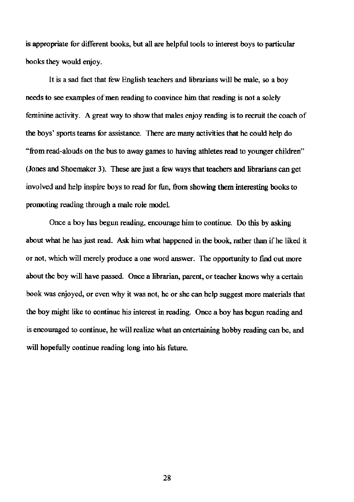**is appropriate for different books, but all are helpful tools to interest boys to particular**  books they would enjoy.

It is a sad fact that few English teachers and librarians will be male, so a boy **needs to see examples of men reading to convince him that reading is not a solely feminine activity. A great way to show that males enjoy reading is to recruit the coach of**  the boys' sports teams for assistance. There are many activities that he could help do **''from read-alouds on the bus to away games to having athletes read to younger children"**  (Jones and Shoemaker 3). These are just a few ways that teachers and librarians can get involved and help inspire boys to read for fun, from showing them interesting books to promoting reading through a male role model.

Once a boy has begun reading, encourage him to continue. Do this by asking about what he has just read. Ask him what happened in the book, rather than if he liked it or not, which will merely produce a one word answer. The opportunity to find out more about the boy will have passed. Once a librarian, parent, or teacher knows why a certain **book was enjoyed. or even why it was not, he or she can help suggest more materials that**  the boy might like to continue his interest in reading. Once a boy has begun reading and **is encouraged to continue, he will realize what an entertaining hobby reading can be, and**  will bopefully continue reading long into his future.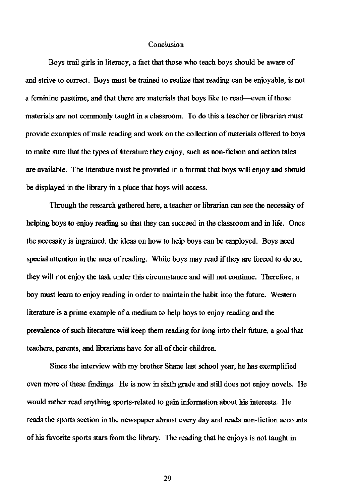#### **Conclusion**

Boys trail girls in literacy, a fact that those who teach boys should be aware of **and strive to correct. Boys must be trained to realize that reading can be enjoyable, is not**  a feminine pasttime, and that there are materials that boys like to read----even if those **materials are not commonly taught in a classroom. To do this a teacher or librarian must provide examples** of male **reading and work on the collection** of materials **offered to boys**  to make sure that the types of literature they enjoy, such as non-fiction and action tales **are available. The literature must be provided in a format that boys will enjoy and should**  be displayed in the library in a plaee that boys will access.

**Through the research gathered here, a teacher or librarian can see the necessity of**  belping boys to enjoy reading so that they can succeed in the classroom and in life. Once the necessity is ingrained, the ideas on how to help boys can be employed. Boys need special attention in the area of reading. While boys may read if they are forced to do so, **they will not enjoy the task under this circumstance and will not continue. Therefore, a boy must learn to enjoy reading in order to maintain the habit into the future. Western**  literature is a prime example of a medium to help boys to enjoy reading and the prevalence of such literature will keep them reading for long into their future, a goal that teachers, parents, and hbrarians have for aU of their children.

Sinee the interview with my brother Shane last school year, he has exemplified **even more of these findings. He is now in sixth grade and still does not enjoy novels. He would rather read anything sports-related to gain information about his interests. He reads the sports section in the newspaper almost every day and reads non-fiction accounts**  of his fuvorite sports stars from the library. The reading that he enjoys is not taught in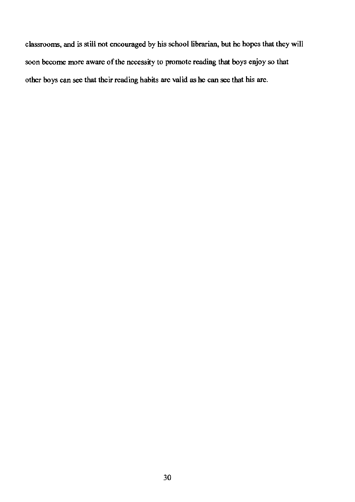classrooms, and is still not encouraged by his school librarian, but he hopes that they will soon become more aware of the necessity to promote reading that boys enjoy so that other boys can see that their reading habits are valid as he can see that his are.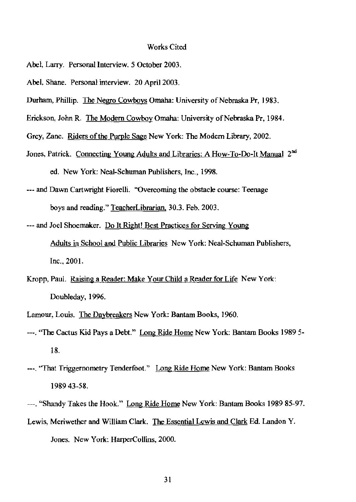#### Works Cited

- Abel, Larry. Personal Interview. 5 October 2003.
- Abel, Shane. Personal interview. 20 April 2003.
- Durham, Phillip. The Negro Cowboys Omaha: University of Nebraska Pr, 1983.
- Erickson, John R. The Modern Cowboy Omaha: University of Nebraska Pr, 1984.
- Grey, Zane. Riders of the Purple Sage New York: The Modern Library, 2002.
- Jones, Patrick. Connecting Young Adults and Libraries: A How-To-Do-It Manual 2<sup>nd</sup> ed. New York: Neal-Schuman Publishers, Inc., 1998.
- **--- and Dawn Cartwright Fiorelli. '"Overcoming the obstacle course: Teenage**  boys and reading." TeacherLibrarian, 30.3. Feb. 2003.
- --- and Joel Shoemaker. Do It Right! Best Practices for Serving Young **Adults in School and Public Libraries New York: Neal-Schuman Publishers,**  Inc., 2001.
- Kropp, Paul. Raising a Reader: Make Your Child a Reader for Life New York: Doubleday, 1996.
- **Lamour, Louis. The Daybreakers New York: Bantam Books, 1960.**
- ---. "The Cactus Kid Pays a Debt." Long Ride Home New York: Bantam Books 1989 5- 18.
- **---. "'That Triggernometry Tenderfoot." Long Ride Home New York: Bantam Books**  198943-58.
- ---. "Shandy Takes the Hook." Long Ride Home New York: Bantam Books 1989 85-97.
- Lewis, Meriwether and William Clark. The Essential Lewis and Clark Ed. Landon Y. **Jones.** New York: HarperCollins, 2000.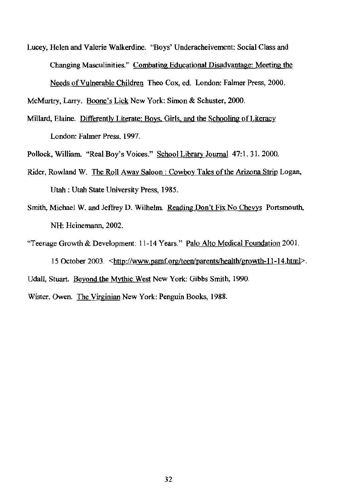**Lucey, Helen and Valerie Walkerdine. "Boys' Underacheivement: Social Class and Changing Masculinities." Combating Educational Disadvantage: Meeting the**  Needs of Vulnerable Children Theo Cox, ed. London: Falmer Press, 2000.

McMurtry, Larry. Boone's Lick New York: Simon & Schuster, 2000.

**Millard, Elaine. Differently Literate: Boys. Girls. and the Schooling** of Literacy **London: Falmer Press, 1997.** 

Pollock, William. "Real Boy's Voices." School Library Journal 47:1. 31. 2000.

- Rider, Rowland W. The Roll Away Saloon: Cowboy Tales of the Arizona Strip Logan, Utah : Utah State University Press, 1985.
- Smith, Michael W. and Jeffrey D. Wilhelm. Reading Don't Fix No Chevys Portsmouth, NH: Heinemann, 2002.

**"Teenage Growth & Development: 11-14 Years." Palo Alto Medical Foundation 2001.**  15 October 2003. <http://www.pamf.org/teenJparents/health/growth-II-14.html>. Udall, Stuart. Beyond the Mythic West New York: Gibbs Smith, 1990.

**Wister. Owen. The Virginian New York: Penguin Books, 1988.**